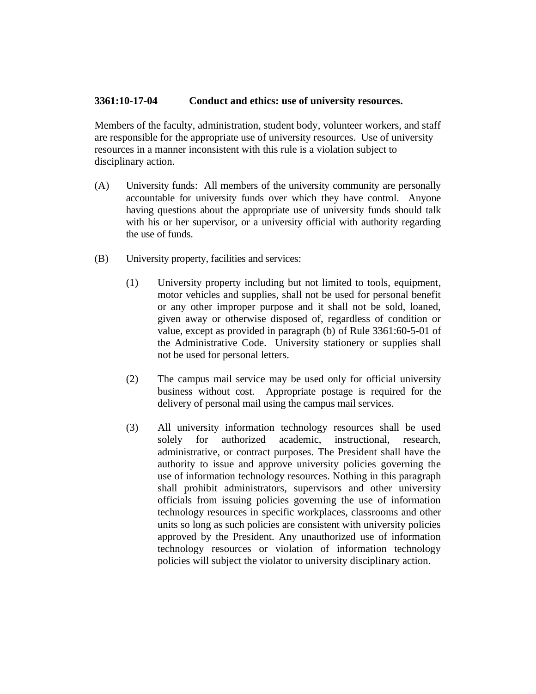## **3361:10-17-04 Conduct and ethics: use of university resources.**

Members of the faculty, administration, student body, volunteer workers, and staff are responsible for the appropriate use of university resources. Use of university resources in a manner inconsistent with this rule is a violation subject to disciplinary action.

- (A) University funds: All members of the university community are personally accountable for university funds over which they have control. Anyone having questions about the appropriate use of university funds should talk with his or her supervisor, or a university official with authority regarding the use of funds.
- (B) University property, facilities and services:
	- (1) University property including but not limited to tools, equipment, motor vehicles and supplies, shall not be used for personal benefit or any other improper purpose and it shall not be sold, loaned, given away or otherwise disposed of, regardless of condition or value, except as provided in paragraph (b) of Rule 3361:60-5-01 of the Administrative Code. University stationery or supplies shall not be used for personal letters.
	- (2) The campus mail service may be used only for official university business without cost. Appropriate postage is required for the delivery of personal mail using the campus mail services.
	- (3) All university information technology resources shall be used solely for authorized academic, instructional, research, administrative, or contract purposes. The President shall have the authority to issue and approve university policies governing the use of information technology resources. Nothing in this paragraph shall prohibit administrators, supervisors and other university officials from issuing policies governing the use of information technology resources in specific workplaces, classrooms and other units so long as such policies are consistent with university policies approved by the President. Any unauthorized use of information technology resources or violation of information technology policies will subject the violator to university disciplinary action.